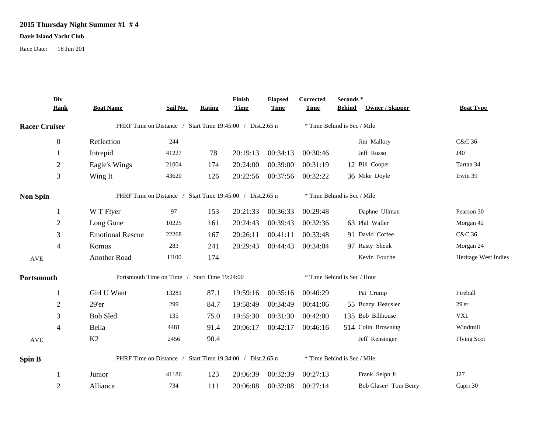## **2015 Thursday Night Summer #1 # 4**

## **Davis Island Yacht Club**

Race Date: 18 Jun 201

|                      | Div<br><b>Rank</b> | <b>Boat Name</b>                                          | Sail No. | <b>Rating</b> | Finish<br><b>Time</b> | <b>Elapsed</b><br><b>Time</b> | Corrected<br><b>Time</b>    | Seconds*<br><b>Behind</b><br>Owner / Skipper | <b>Boat Type</b>     |  |
|----------------------|--------------------|-----------------------------------------------------------|----------|---------------|-----------------------|-------------------------------|-----------------------------|----------------------------------------------|----------------------|--|
| <b>Racer Cruiser</b> |                    | PHRF Time on Distance / Start Time 19:45:00 / Dist.2.65 n |          |               |                       |                               | * Time Behind is Sec / Mile |                                              |                      |  |
|                      | $\mathbf{0}$       | Reflection                                                | 244      |               |                       |                               |                             | Jim Mallory                                  | C&C 36               |  |
|                      |                    | Intrepid                                                  | 41227    | 78            | 20:19:13              | 00:34:13                      | 00:30:46                    | Jeff Russo                                   | J40                  |  |
|                      | $\overline{2}$     | Eagle's Wings                                             | 21004    | 174           | 20:24:00              | 00:39:00                      | 00:31:19                    | 12 Bill Cooper                               | Tartan 34            |  |
|                      | 3                  | Wing It                                                   | 43620    | 126           | 20:22:56              | 00:37:56                      | 00:32:22                    | 36 Mike Doyle                                | Irwin 39             |  |
| <b>Non Spin</b>      |                    | PHRF Time on Distance / Start Time 19:45:00 / Dist.2.65 n |          |               |                       |                               |                             | * Time Behind is Sec / Mile                  |                      |  |
|                      | -1                 | W T Flyer                                                 | 97       | 153           | 20:21:33              | 00:36:33                      | 00:29:48                    | Daphne Ullman                                | Pearson 30           |  |
|                      | $\overline{2}$     | Long Gone                                                 | 10225    | 161           | 20:24:43              | 00:39:43                      | 00:32:36                    | 63 Phil Waller                               | Morgan 42            |  |
|                      | 3                  | <b>Emotional Rescue</b>                                   | 22268    | 167           | 20:26:11              | 00:41:11                      | 00:33:48                    | 91 David Coffee                              | C&C 36               |  |
|                      | $\overline{4}$     | Komus                                                     | 283      | 241           | 20:29:43              | 00:44:43                      | 00:34:04                    | 97 Rusty Shenk                               | Morgan 24            |  |
| $\operatorname{AVE}$ |                    | Another Road                                              | H100     | 174           |                       |                               |                             | Kevin Fouche                                 | Heritage West Indies |  |
| Portsmouth           |                    | Portsmouth Time on Time /<br><b>Start Time 19:24:00</b>   |          |               |                       |                               |                             | * Time Behind is Sec / Hour                  |                      |  |
|                      | -1                 | Girl U Want                                               | 13281    | 87.1          | 19:59:16              | 00:35:16                      | 00:40:29                    | Pat Crump                                    | Fireball             |  |
|                      | $\overline{2}$     | 29'er                                                     | 299      | 84.7          | 19:58:49              | 00:34:49                      | 00:41:06                    | 55 Buzzy Heausler                            | 29'er                |  |
|                      | 3                  | <b>Bob Sled</b>                                           | 135      | 75.0          | 19:55:30              | 00:31:30                      | 00:42:00                    | 135 Bob Bilthouse                            | VX1                  |  |
|                      | $\overline{4}$     | Bella                                                     | 4481     | 91.4          | 20:06:17              | 00:42:17                      | 00:46:16                    | 514 Colin Browning                           | Windmill             |  |
| AVE                  |                    | K2                                                        | 2456     | 90.4          |                       |                               |                             | Jeff Kensinger                               | <b>Flying Scot</b>   |  |
| <b>Spin B</b>        |                    | PHRF Time on Distance / Start Time 19:34:00 / Dist.2.65 n |          |               |                       |                               |                             | * Time Behind is Sec / Mile                  |                      |  |
|                      |                    | Junior                                                    | 41186    | 123           | 20:06:39              | 00:32:39                      | 00:27:13                    | Frank Selph Jr                               | J27                  |  |
|                      | $\overline{2}$     | Alliance                                                  | 734      | 111           | 20:06:08              | 00:32:08                      | 00:27:14                    | Bob Glaser/ Tom Berry                        | Capri 30             |  |